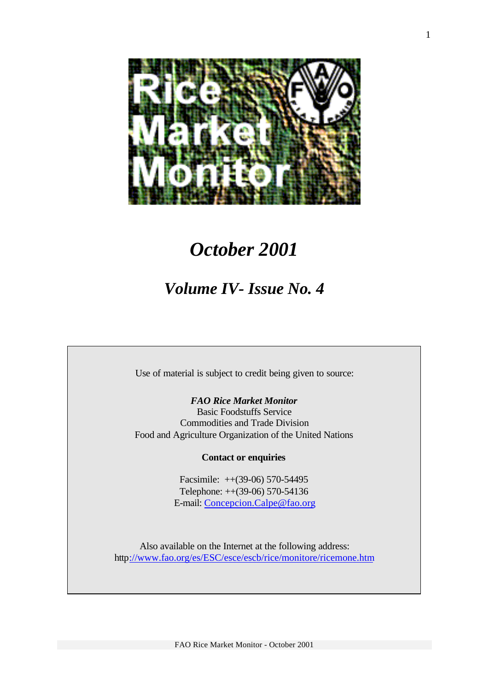

# *October 2001*

# *Volume IV- Issue No. 4*

Use of material is subject to credit being given to source:

*FAO Rice Market Monitor* Basic Foodstuffs Service Commodities and Trade Division Food and Agriculture Organization of the United Nations

## **Contact or enquiries**

Facsimile: ++(39-06) 570-54495 Telephone: ++(39-06) 570-54136 E-mail: Concepcion.Calpe@fao.org

Also available on the Internet at the following address: http://www.fao.org/es/ESC/esce/escb/rice/monitore/ricemone.htm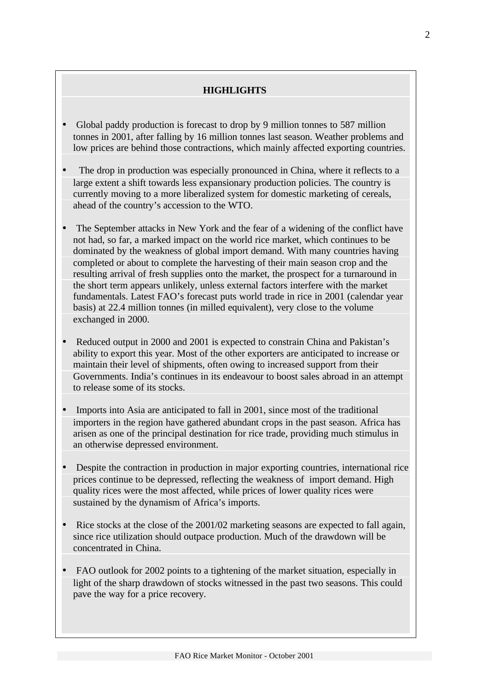## **HIGHLIGHTS**

- Global paddy production is forecast to drop by 9 million tonnes to 587 million tonnes in 2001, after falling by 16 million tonnes last season. Weather problems and low prices are behind those contractions, which mainly affected exporting countries.
- The drop in production was especially pronounced in China, where it reflects to a large extent a shift towards less expansionary production policies. The country is currently moving to a more liberalized system for domestic marketing of cereals, ahead of the country's accession to the WTO.
- The September attacks in New York and the fear of a widening of the conflict have not had, so far, a marked impact on the world rice market, which continues to be dominated by the weakness of global import demand. With many countries having completed or about to complete the harvesting of their main season crop and the resulting arrival of fresh supplies onto the market, the prospect for a turnaround in the short term appears unlikely, unless external factors interfere with the market fundamentals. Latest FAO's forecast puts world trade in rice in 2001 (calendar year basis) at 22.4 million tonnes (in milled equivalent), very close to the volume exchanged in 2000.
- Reduced output in 2000 and 2001 is expected to constrain China and Pakistan's ability to export this year. Most of the other exporters are anticipated to increase or maintain their level of shipments, often owing to increased support from their Governments. India's continues in its endeavour to boost sales abroad in an attempt to release some of its stocks.
- Imports into Asia are anticipated to fall in 2001, since most of the traditional importers in the region have gathered abundant crops in the past season. Africa has arisen as one of the principal destination for rice trade, providing much stimulus in an otherwise depressed environment.
- Despite the contraction in production in major exporting countries, international rice prices continue to be depressed, reflecting the weakness of import demand. High quality rices were the most affected, while prices of lower quality rices were sustained by the dynamism of Africa's imports.
- Rice stocks at the close of the 2001/02 marketing seasons are expected to fall again, since rice utilization should outpace production. Much of the drawdown will be concentrated in China.
- FAO outlook for 2002 points to a tightening of the market situation, especially in light of the sharp drawdown of stocks witnessed in the past two seasons. This could pave the way for a price recovery.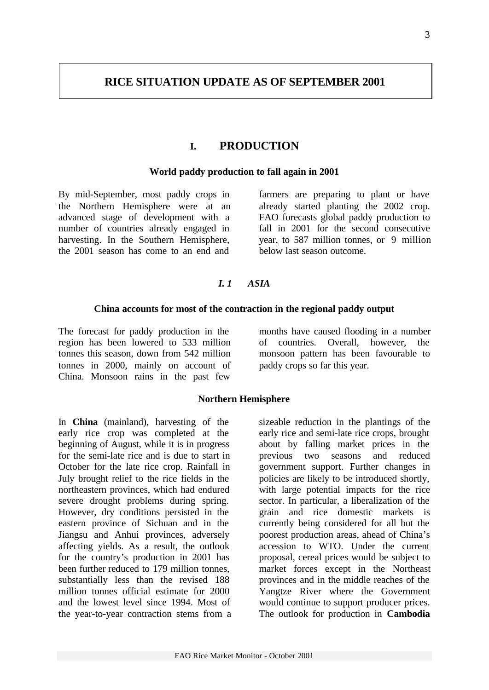## **I. PRODUCTION**

#### **World paddy production to fall again in 2001**

By mid-September, most paddy crops in the Northern Hemisphere were at an advanced stage of development with a number of countries already engaged in harvesting. In the Southern Hemisphere, the 2001 season has come to an end and

farmers are preparing to plant or have already started planting the 2002 crop. FAO forecasts global paddy production to fall in 2001 for the second consecutive year, to 587 million tonnes, or 9 million below last season outcome.

## *I. 1 ASIA*

#### **China accounts for most of the contraction in the regional paddy output**

The forecast for paddy production in the region has been lowered to 533 million tonnes this season, down from 542 million tonnes in 2000, mainly on account of China. Monsoon rains in the past few

months have caused flooding in a number of countries. Overall, however, the monsoon pattern has been favourable to paddy crops so far this year.

#### **Northern Hemisphere**

In **China** (mainland), harvesting of the early rice crop was completed at the beginning of August, while it is in progress for the semi-late rice and is due to start in October for the late rice crop. Rainfall in July brought relief to the rice fields in the northeastern provinces, which had endured severe drought problems during spring. However, dry conditions persisted in the eastern province of Sichuan and in the Jiangsu and Anhui provinces, adversely affecting yields. As a result, the outlook for the country's production in 2001 has been further reduced to 179 million tonnes, substantially less than the revised 188 million tonnes official estimate for 2000 and the lowest level since 1994. Most of the year-to-year contraction stems from a sizeable reduction in the plantings of the early rice and semi-late rice crops, brought about by falling market prices in the previous two seasons and reduced government support. Further changes in policies are likely to be introduced shortly, with large potential impacts for the rice sector. In particular, a liberalization of the grain and rice domestic markets is currently being considered for all but the poorest production areas, ahead of China's accession to WTO. Under the current proposal, cereal prices would be subject to market forces except in the Northeast provinces and in the middle reaches of the Yangtze River where the Government would continue to support producer prices. The outlook for production in **Cambodia**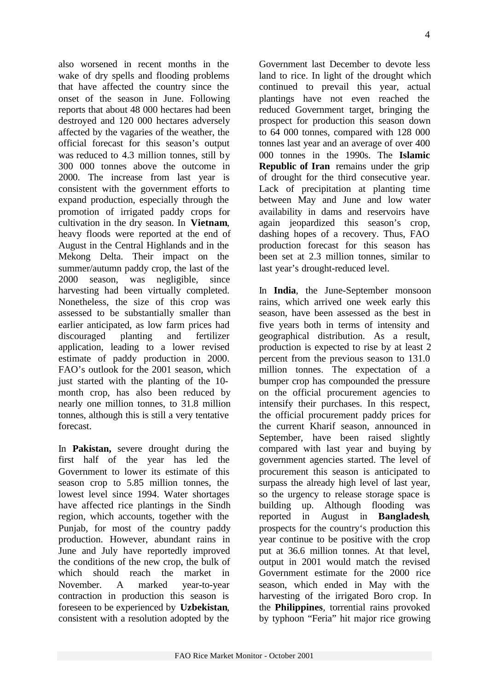also worsened in recent months in the wake of dry spells and flooding problems that have affected the country since the onset of the season in June. Following reports that about 48 000 hectares had been destroyed and 120 000 hectares adversely affected by the vagaries of the weather, the official forecast for this season's output was reduced to 4.3 million tonnes, still by 300 000 tonnes above the outcome in 2000. The increase from last year is consistent with the government efforts to expand production, especially through the promotion of irrigated paddy crops for cultivation in the dry season. In **Vietnam**, heavy floods were reported at the end of August in the Central Highlands and in the Mekong Delta. Their impact on the summer/autumn paddy crop, the last of the 2000 season, was negligible, since harvesting had been virtually completed. Nonetheless, the size of this crop was assessed to be substantially smaller than earlier anticipated, as low farm prices had discouraged planting and fertilizer application, leading to a lower revised estimate of paddy production in 2000. FAO's outlook for the 2001 season, which just started with the planting of the 10 month crop, has also been reduced by nearly one million tonnes, to 31.8 million tonnes, although this is still a very tentative forecast.

In **Pakistan,** severe drought during the first half of the year has led the Government to lower its estimate of this season crop to 5.85 million tonnes, the lowest level since 1994. Water shortages have affected rice plantings in the Sindh region, which accounts, together with the Punjab, for most of the country paddy production. However, abundant rains in June and July have reportedly improved the conditions of the new crop, the bulk of which should reach the market in November. A marked year-to-year contraction in production this season is foreseen to be experienced by **Uzbekistan**, consistent with a resolution adopted by the

Government last December to devote less land to rice. In light of the drought which continued to prevail this year, actual plantings have not even reached the reduced Government target, bringing the prospect for production this season down to 64 000 tonnes, compared with 128 000 tonnes last year and an average of over 400 000 tonnes in the 1990s. The **Islamic Republic of Iran** remains under the grip of drought for the third consecutive year. Lack of precipitation at planting time between May and June and low water availability in dams and reservoirs have again jeopardized this season's crop, dashing hopes of a recovery. Thus, FAO production forecast for this season has been set at 2.3 million tonnes, similar to last year's drought-reduced level.

In **India**, the June-September monsoon rains, which arrived one week early this season, have been assessed as the best in five years both in terms of intensity and geographical distribution. As a result, production is expected to rise by at least 2 percent from the previous season to 131.0 million tonnes. The expectation of a bumper crop has compounded the pressure on the official procurement agencies to intensify their purchases. In this respect, the official procurement paddy prices for the current Kharif season, announced in September, have been raised slightly compared with last year and buying by government agencies started. The level of procurement this season is anticipated to surpass the already high level of last year, so the urgency to release storage space is building up. Although flooding was reported in August in **Bangladesh**, prospects for the country's production this year continue to be positive with the crop put at 36.6 million tonnes. At that level, output in 2001 would match the revised Government estimate for the 2000 rice season, which ended in May with the harvesting of the irrigated Boro crop. In the **Philippines**, torrential rains provoked by typhoon "Feria" hit major rice growing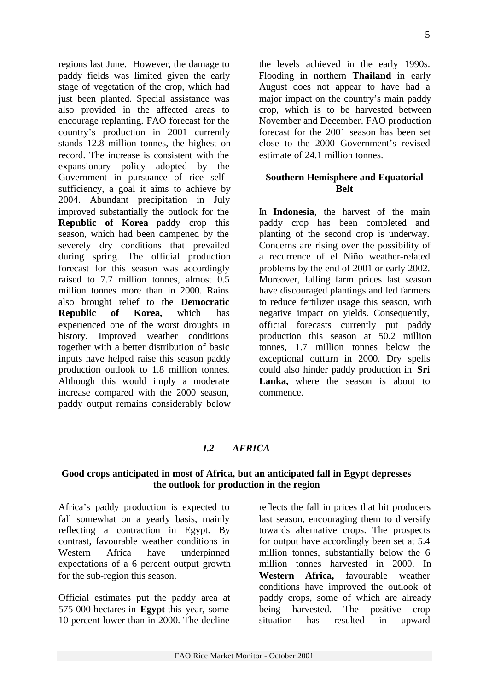regions last June. However, the damage to paddy fields was limited given the early stage of vegetation of the crop, which had just been planted. Special assistance was also provided in the affected areas to encourage replanting. FAO forecast for the country's production in 2001 currently stands 12.8 million tonnes, the highest on record. The increase is consistent with the expansionary policy adopted by the Government in pursuance of rice selfsufficiency, a goal it aims to achieve by 2004. Abundant precipitation in July improved substantially the outlook for the **Republic of Korea** paddy crop this season, which had been dampened by the severely dry conditions that prevailed during spring. The official production forecast for this season was accordingly raised to 7.7 million tonnes, almost 0.5 million tonnes more than in 2000. Rains also brought relief to the **Democratic Republic of Korea,** which has experienced one of the worst droughts in history. Improved weather conditions together with a better distribution of basic inputs have helped raise this season paddy production outlook to 1.8 million tonnes. Although this would imply a moderate increase compared with the 2000 season, paddy output remains considerably below

the levels achieved in the early 1990s. Flooding in northern **Thailand** in early August does not appear to have had a major impact on the country's main paddy crop, which is to be harvested between November and December. FAO production forecast for the 2001 season has been set close to the 2000 Government's revised estimate of 24.1 million tonnes.

## **Southern Hemisphere and Equatorial Belt**

In **Indonesia**, the harvest of the main paddy crop has been completed and planting of the second crop is underway. Concerns are rising over the possibility of a recurrence of el Niño weather-related problems by the end of 2001 or early 2002. Moreover, falling farm prices last season have discouraged plantings and led farmers to reduce fertilizer usage this season, with negative impact on yields. Consequently, official forecasts currently put paddy production this season at 50.2 million tonnes, 1.7 million tonnes below the exceptional outturn in 2000. Dry spells could also hinder paddy production in **Sri** Lanka, where the season is about to commence.

## *I.2 AFRICA*

#### **Good crops anticipated in most of Africa, but an anticipated fall in Egypt depresses the outlook for production in the region**

Africa's paddy production is expected to fall somewhat on a yearly basis, mainly reflecting a contraction in Egypt. By contrast, favourable weather conditions in Western Africa have underpinned expectations of a 6 percent output growth for the sub-region this season.

Official estimates put the paddy area at 575 000 hectares in **Egypt** this year, some 10 percent lower than in 2000. The decline

reflects the fall in prices that hit producers last season, encouraging them to diversify towards alternative crops. The prospects for output have accordingly been set at 5.4 million tonnes, substantially below the 6 million tonnes harvested in 2000. In **Western Africa,** favourable weather conditions have improved the outlook of paddy crops, some of which are already being harvested. The positive crop situation has resulted in upward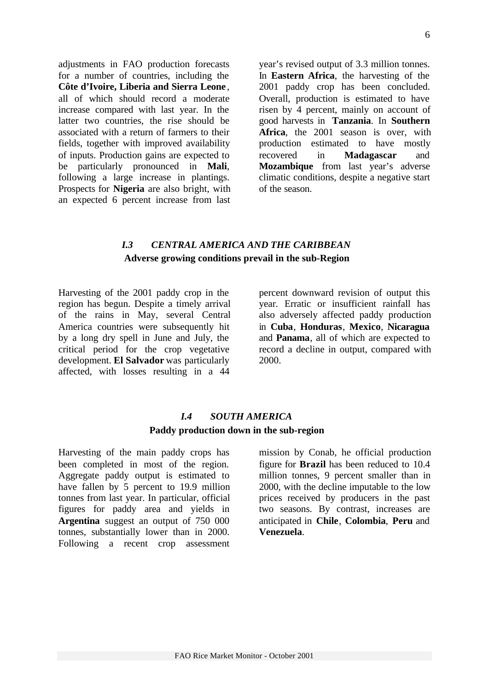adjustments in FAO production forecasts for a number of countries, including the **Côte d'Ivoire, Liberia and Sierra Leone** , all of which should record a moderate increase compared with last year. In the latter two countries, the rise should be associated with a return of farmers to their fields, together with improved availability of inputs. Production gains are expected to be particularly pronounced in **Mali**, following a large increase in plantings. Prospects for **Nigeria** are also bright, with an expected 6 percent increase from last

year's revised output of 3.3 million tonnes. In **Eastern Africa**, the harvesting of the 2001 paddy crop has been concluded. Overall, production is estimated to have risen by 4 percent, mainly on account of good harvests in **Tanzania**. In **Southern Africa**, the 2001 season is over, with production estimated to have mostly recovered in **Madagascar** and **Mozambique** from last year's adverse climatic conditions, despite a negative start of the season.

## *I.3 CENTRAL AMERICA AND THE CARIBBEAN* **Adverse growing conditions prevail in the sub-Region**

Harvesting of the 2001 paddy crop in the region has begun. Despite a timely arrival of the rains in May, several Central America countries were subsequently hit by a long dry spell in June and July, the critical period for the crop vegetative development. **El Salvador** was particularly affected, with losses resulting in a 44

percent downward revision of output this year. Erratic or insufficient rainfall has also adversely affected paddy production in **Cuba**, **Honduras**, **Mexico**, **Nicaragua** and **Panama**, all of which are expected to record a decline in output, compared with 2000.

## *I.4 SOUTH AMERICA* **Paddy production down in the sub-region**

Harvesting of the main paddy crops has been completed in most of the region. Aggregate paddy output is estimated to have fallen by 5 percent to 19.9 million tonnes from last year. In particular, official figures for paddy area and yields in **Argentina** suggest an output of 750 000 tonnes, substantially lower than in 2000. Following a recent crop assessment mission by Conab, he official production figure for **Brazil** has been reduced to 10.4 million tonnes, 9 percent smaller than in 2000, with the decline imputable to the low prices received by producers in the past two seasons. By contrast, increases are anticipated in **Chile**, **Colombia**, **Peru** and **Venezuela**.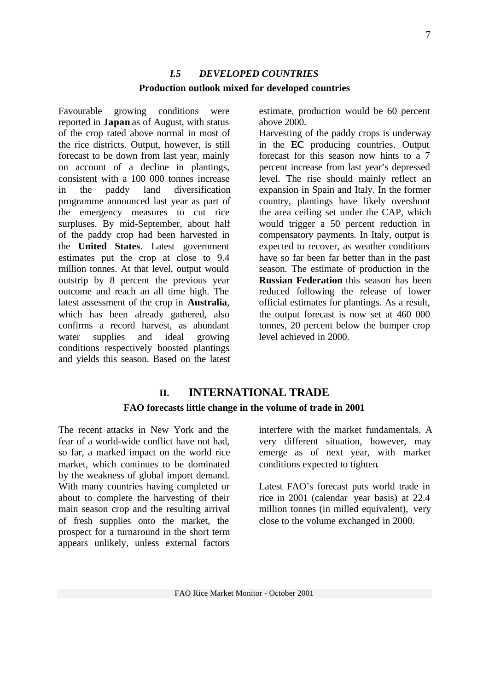# *I.5 DEVELOPED COUNTRIES* **Production outlook mixed for developed countries**

Favourable growing conditions were reported in **Japan** as of August, with status of the crop rated above normal in most of the rice districts. Output, however, is still forecast to be down from last year, mainly on account of a decline in plantings, consistent with a 100 000 tonnes increase in the paddy land diversification programme announced last year as part of the emergency measures to cut rice surpluses. By mid-September, about half of the paddy crop had been harvested in the **United States**. Latest government estimates put the crop at close to 9.4 million tonnes. At that level, output would outstrip by 8 percent the previous year outcome and reach an all time high. The latest assessment of the crop in **Australia**, which has been already gathered, also confirms a record harvest, as abundant water supplies and ideal growing conditions respectively boosted plantings and yields this season. Based on the latest

estimate, production would be 60 percent above 2000.

Harvesting of the paddy crops is underway in the **EC** producing countries. Output forecast for this season now hints to a 7 percent increase from last year's depressed level. The rise should mainly reflect an expansion in Spain and Italy. In the former country, plantings have likely overshoot the area ceiling set under the CAP, which would trigger a 50 percent reduction in compensatory payments. In Italy, output is expected to recover, as weather conditions have so far been far better than in the past season. The estimate of production in the **Russian Federation** this season has been reduced following the release of lower official estimates for plantings. As a result, the output forecast is now set at 460 000 tonnes, 20 percent below the bumper crop level achieved in 2000.

# **II. INTERNATIONAL TRADE FAO forecasts little change in the volume of trade in 2001**

The recent attacks in New York and the fear of a world-wide conflict have not had, so far, a marked impact on the world rice market, which continues to be dominated by the weakness of global import demand. With many countries having completed or about to complete the harvesting of their main season crop and the resulting arrival of fresh supplies onto the market, the prospect for a turnaround in the short term appears unlikely, unless external factors

interfere with the market fundamentals. A very different situation, however, may emerge as of next year, with market conditions expected to tighten.

Latest FAO's forecast puts world trade in rice in 2001 (calendar year basis) at 22.4 million tonnes (in milled equivalent), very close to the volume exchanged in 2000.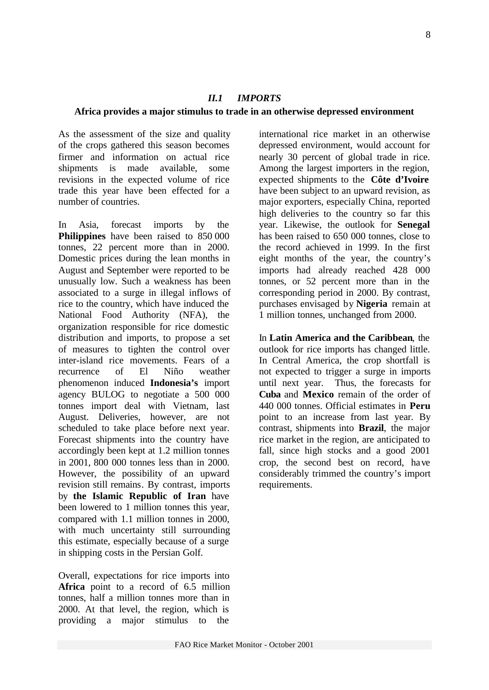# *II.1 IMPORTS*

## **Africa provides a major stimulus to trade in an otherwise depressed environment**

As the assessment of the size and quality of the crops gathered this season becomes firmer and information on actual rice shipments is made available, some revisions in the expected volume of rice trade this year have been effected for a number of countries.

In Asia, forecast imports by the **Philippines** have been raised to 850 000 tonnes, 22 percent more than in 2000. Domestic prices during the lean months in August and September were reported to be unusually low. Such a weakness has been associated to a surge in illegal inflows of rice to the country, which have induced the National Food Authority (NFA), the organization responsible for rice domestic distribution and imports, to propose a set of measures to tighten the control over inter-island rice movements. Fears of a recurrence of El Niño weather phenomenon induced **Indonesia's** import agency BULOG to negotiate a 500 000 tonnes import deal with Vietnam, last August. Deliveries, however, are not scheduled to take place before next year. Forecast shipments into the country have accordingly been kept at 1.2 million tonnes in 2001, 800 000 tonnes less than in 2000. However, the possibility of an upward revision still remains. By contrast, imports by **the Islamic Republic of Iran** have been lowered to 1 million tonnes this year, compared with 1.1 million tonnes in 2000, with much uncertainty still surrounding this estimate, especially because of a surge in shipping costs in the Persian Golf.

Overall, expectations for rice imports into **Africa** point to a record of 6.5 million tonnes, half a million tonnes more than in 2000. At that level, the region, which is providing a major stimulus to the

international rice market in an otherwise depressed environment, would account for nearly 30 percent of global trade in rice. Among the largest importers in the region, expected shipments to the **Côte d'Ivoire** have been subject to an upward revision, as major exporters, especially China, reported high deliveries to the country so far this year. Likewise, the outlook for **Senegal** has been raised to 650 000 tonnes, close to the record achieved in 1999. In the first eight months of the year, the country's imports had already reached 428 000 tonnes, or 52 percent more than in the corresponding period in 2000. By contrast, purchases envisaged by **Nigeria** remain at 1 million tonnes, unchanged from 2000.

In **Latin America and the Caribbean**, the outlook for rice imports has changed little. In Central America, the crop shortfall is not expected to trigger a surge in imports until next year. Thus, the forecasts for **Cuba** and **Mexico** remain of the order of 440 000 tonnes. Official estimates in **Peru** point to an increase from last year. By contrast, shipments into **Brazil**, the major rice market in the region, are anticipated to fall, since high stocks and a good 2001 crop, the second best on record, have considerably trimmed the country's import requirements.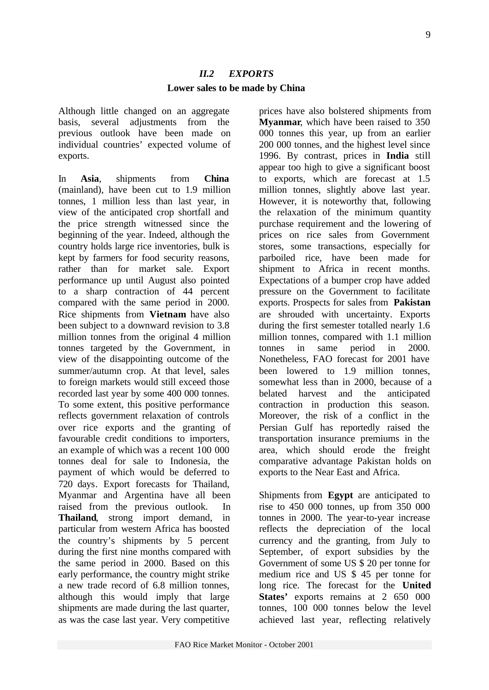## *II.2 EXPORTS* **Lower sales to be made by China**

Although little changed on an aggregate basis, several adjustments from the previous outlook have been made on individual countries' expected volume of exports.

In **Asia**, shipments from **China** (mainland), have been cut to 1.9 million tonnes, 1 million less than last year, in view of the anticipated crop shortfall and the price strength witnessed since the beginning of the year. Indeed, although the country holds large rice inventories, bulk is kept by farmers for food security reasons, rather than for market sale. Export performance up until August also pointed to a sharp contraction of 44 percent compared with the same period in 2000. Rice shipments from **Vietnam** have also been subject to a downward revision to 3.8 million tonnes from the original 4 million tonnes targeted by the Government, in view of the disappointing outcome of the summer/autumn crop. At that level, sales to foreign markets would still exceed those recorded last year by some 400 000 tonnes. To some extent, this positive performance reflects government relaxation of controls over rice exports and the granting of favourable credit conditions to importers, an example of which was a recent 100 000 tonnes deal for sale to Indonesia, the payment of which would be deferred to 720 days. Export forecasts for Thailand, Myanmar and Argentina have all been raised from the previous outlook. In **Thailand**, strong import demand, in particular from western Africa has boosted the country's shipments by 5 percent during the first nine months compared with the same period in 2000. Based on this early performance, the country might strike a new trade record of 6.8 million tonnes, although this would imply that large shipments are made during the last quarter, as was the case last year. Very competitive

prices have also bolstered shipments from **Myanmar**, which have been raised to 350 000 tonnes this year, up from an earlier 200 000 tonnes, and the highest level since 1996. By contrast, prices in **India** still appear too high to give a significant boost to exports, which are forecast at 1.5 million tonnes, slightly above last year. However, it is noteworthy that, following the relaxation of the minimum quantity purchase requirement and the lowering of prices on rice sales from Government stores, some transactions, especially for parboiled rice, have been made for shipment to Africa in recent months. Expectations of a bumper crop have added pressure on the Government to facilitate exports. Prospects for sales from **Pakistan** are shrouded with uncertainty. Exports during the first semester totalled nearly 1.6 million tonnes, compared with 1.1 million tonnes in same period in 2000. Nonetheless, FAO forecast for 2001 have been lowered to 1.9 million tonnes. somewhat less than in 2000, because of a belated harvest and the anticipated contraction in production this season. Moreover, the risk of a conflict in the Persian Gulf has reportedly raised the transportation insurance premiums in the area, which should erode the freight comparative advantage Pakistan holds on exports to the Near East and Africa.

Shipments from **Egypt** are anticipated to rise to 450 000 tonnes, up from 350 000 tonnes in 2000. The year-to-year increase reflects the depreciation of the local currency and the granting, from July to September, of export subsidies by the Government of some US \$ 20 per tonne for medium rice and US \$ 45 per tonne for long rice. The forecast for the **United States'** exports remains at 2 650 000 tonnes, 100 000 tonnes below the level achieved last year, reflecting relatively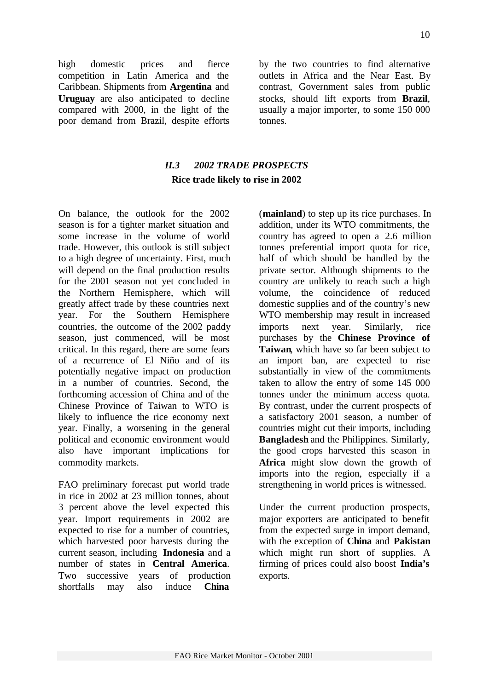high domestic prices and fierce competition in Latin America and the Caribbean. Shipments from **Argentina** and **Uruguay** are also anticipated to decline compared with 2000, in the light of the poor demand from Brazil, despite efforts by the two countries to find alternative outlets in Africa and the Near East. By contrast, Government sales from public stocks, should lift exports from **Brazil**, usually a major importer, to some 150 000 tonnes.

# *II.3 2002 TRADE PROSPECTS* **Rice trade likely to rise in 2002**

On balance, the outlook for the 2002 season is for a tighter market situation and some increase in the volume of world trade. However, this outlook is still subject to a high degree of uncertainty. First, much will depend on the final production results for the 2001 season not yet concluded in the Northern Hemisphere, which will greatly affect trade by these countries next year. For the Southern Hemisphere countries, the outcome of the 2002 paddy season, just commenced, will be most critical. In this regard, there are some fears of a recurrence of El Niño and of its potentially negative impact on production in a number of countries. Second, the forthcoming accession of China and of the Chinese Province of Taiwan to WTO is likely to influence the rice economy next year. Finally, a worsening in the general political and economic environment would also have important implications for commodity markets.

FAO preliminary forecast put world trade in rice in 2002 at 23 million tonnes, about 3 percent above the level expected this year. Import requirements in 2002 are expected to rise for a number of countries, which harvested poor harvests during the current season, including **Indonesia** and a number of states in **Central America**. Two successive years of production shortfalls may also induce **China**

(**mainland**) to step up its rice purchases. In addition, under its WTO commitments, the country has agreed to open a 2.6 million tonnes preferential import quota for rice, half of which should be handled by the private sector. Although shipments to the country are unlikely to reach such a high volume, the coincidence of reduced domestic supplies and of the country's new WTO membership may result in increased imports next year. Similarly, rice purchases by the **Chinese Province of Taiwan**, which have so far been subject to an import ban, are expected to rise substantially in view of the commitments taken to allow the entry of some 145 000 tonnes under the minimum access quota. By contrast, under the current prospects of a satisfactory 2001 season, a number of countries might cut their imports, including **Bangladesh** and the Philippines. Similarly, the good crops harvested this season in **Africa** might slow down the growth of imports into the region, especially if a strengthening in world prices is witnessed.

Under the current production prospects, major exporters are anticipated to benefit from the expected surge in import demand, with the exception of **China** and **Pakistan** which might run short of supplies. A firming of prices could also boost **India's** exports.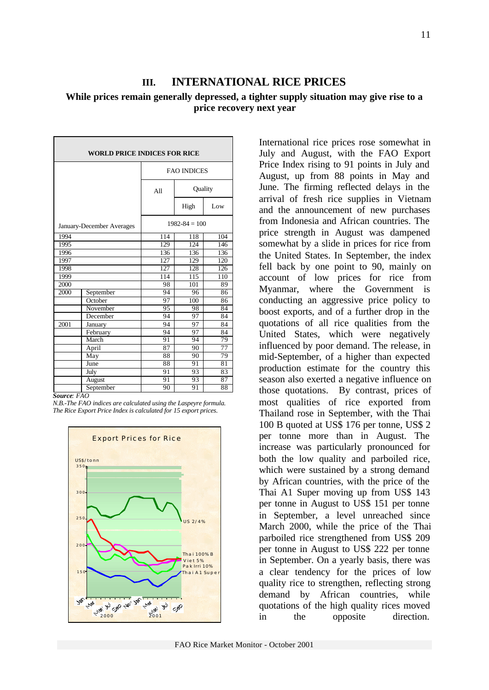# **III. INTERNATIONAL RICE PRICES**

## **While prices remain generally depressed, a tighter supply situation may give rise to a price recovery next year**

| <b>WORLD PRICE INDICES FOR RICE</b> |                |                    |         |     |  |  |  |  |  |
|-------------------------------------|----------------|--------------------|---------|-----|--|--|--|--|--|
|                                     |                | <b>FAO INDICES</b> |         |     |  |  |  |  |  |
|                                     |                | A11                | Quality |     |  |  |  |  |  |
|                                     |                |                    | High    | Low |  |  |  |  |  |
| January-December Averages           |                | $1982 - 84 = 100$  |         |     |  |  |  |  |  |
| 1994                                |                | 114                | 118     | 104 |  |  |  |  |  |
| 1995                                |                | 129                | 124     | 146 |  |  |  |  |  |
| 1996                                |                | 136                | 136     | 136 |  |  |  |  |  |
| 1997                                |                | 127                | 129     | 120 |  |  |  |  |  |
| 1998                                |                | 127                | 128     | 126 |  |  |  |  |  |
| 1999                                |                | 114                | 115     | 110 |  |  |  |  |  |
| 2000                                |                | 98                 | 101     | 89  |  |  |  |  |  |
| 2000                                | September      | 94                 | 96      | 86  |  |  |  |  |  |
|                                     | October        | 97                 | 100     | 86  |  |  |  |  |  |
|                                     | November       | 95                 | 98      | 84  |  |  |  |  |  |
|                                     | December       | 94                 | 97      | 84  |  |  |  |  |  |
| 2001                                | <b>January</b> | 94                 | 97      | 84  |  |  |  |  |  |
|                                     | February       | 94                 | 97      | 84  |  |  |  |  |  |
|                                     | March          | 91                 | 94      | 79  |  |  |  |  |  |
|                                     | April          | 87                 | 90      | 77  |  |  |  |  |  |
|                                     | May            | 88                 | 90      | 79  |  |  |  |  |  |
|                                     | June           | 88                 | 91      | 81  |  |  |  |  |  |
|                                     | July           | 91                 | 93      | 83  |  |  |  |  |  |
|                                     | August         | 91                 | 93      | 87  |  |  |  |  |  |
|                                     | September      | 90                 | 91      | 88  |  |  |  |  |  |

*Source: FAO*

*N.B.-The FAO indices are calculated using the Laspeyre formula. The Rice Export Price Index is calculated for 15 export prices.*



International rice prices rose somewhat in July and August, with the FAO Export Price Index rising to 91 points in July and August, up from 88 points in May and June. The firming reflected delays in the arrival of fresh rice supplies in Vietnam and the announcement of new purchases from Indonesia and African countries. The price strength in August was dampened somewhat by a slide in prices for rice from the United States. In September, the index fell back by one point to 90, mainly on account of low prices for rice from Myanmar, where the Government is conducting an aggressive price policy to boost exports, and of a further drop in the quotations of all rice qualities from the United States, which were negatively influenced by poor demand. The release, in mid-September, of a higher than expected production estimate for the country this season also exerted a negative influence on those quotations. By contrast, prices of most qualities of rice exported from Thailand rose in September, with the Thai 100 B quoted at US\$ 176 per tonne, US\$ 2 per tonne more than in August. The increase was particularly pronounced for both the low quality and parboiled rice, which were sustained by a strong demand by African countries, with the price of the Thai A1 Super moving up from US\$ 143 per tonne in August to US\$ 151 per tonne in September, a level unreached since March 2000, while the price of the Thai parboiled rice strengthened from US\$ 209 per tonne in August to US\$ 222 per tonne in September. On a yearly basis, there was a clear tendency for the prices of low quality rice to strengthen, reflecting strong demand by African countries, while quotations of the high quality rices moved in the opposite direction.